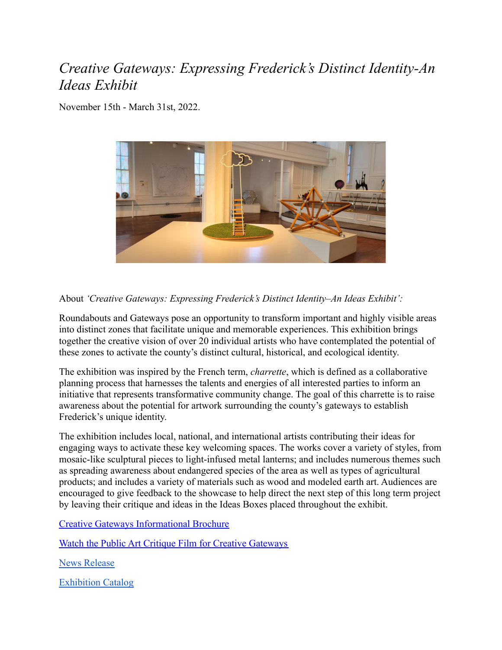## *Creative Gateways: Expressing Frederick's Distinct Identity-An Ideas Exhibit*

November 15th - March 31st, 2022.



About *'Creative Gateways: Expressing Frederick's Distinct Identity–An Ideas Exhibit':*

Roundabouts and Gateways pose an opportunity to transform important and highly visible areas into distinct zones that facilitate unique and memorable experiences. This exhibition brings together the creative vision of over 20 individual artists who have contemplated the potential of these zones to activate the county's distinct cultural, historical, and ecological identity.

The exhibition was inspired by the French term, *charrette*, which is defined as a collaborative planning process that harnesses the talents and energies of all interested parties to inform an initiative that represents transformative community change. The goal of this charrette is to raise awareness about the potential for artwork surrounding the county's gateways to establish Frederick's unique identity.

The exhibition includes local, national, and international artists contributing their ideas for engaging ways to activate these key welcoming spaces. The works cover a variety of styles, from mosaic-like sculptural pieces to light-infused metal lanterns; and includes numerous themes such as spreading awareness about endangered species of the area as well as types of agricultural products; and includes a variety of materials such as wood and modeled earth art. Audiences are encouraged to give feedback to the showcase to help direct the next step of this long term project by leaving their critique and ideas in the Ideas Boxes placed throughout the exhibit.

[Creative Gateways Informational Brochure](https://frederickartscouncil.org/wp-content/uploads/Copy-of-FAC-Creative-Gateways-Program-11x14-1.pdf)

[Watch the Public Art Critique Film for Creative Gateways](https://www.dropbox.com/s/a3vebu5obvqjyuh/Charette%20Final.mp4?dl=0)

[News Release](https://frederickartscouncil.org/frederick-arts-council-announces-creative-gateways-imagining-fredericks-unique-identity-reception-engagement/)

[Exhibition Catalog](https://drive.google.com/drive/folders/1-0iIqlyZhpnIJqB8_2rSEKThX398al1m)